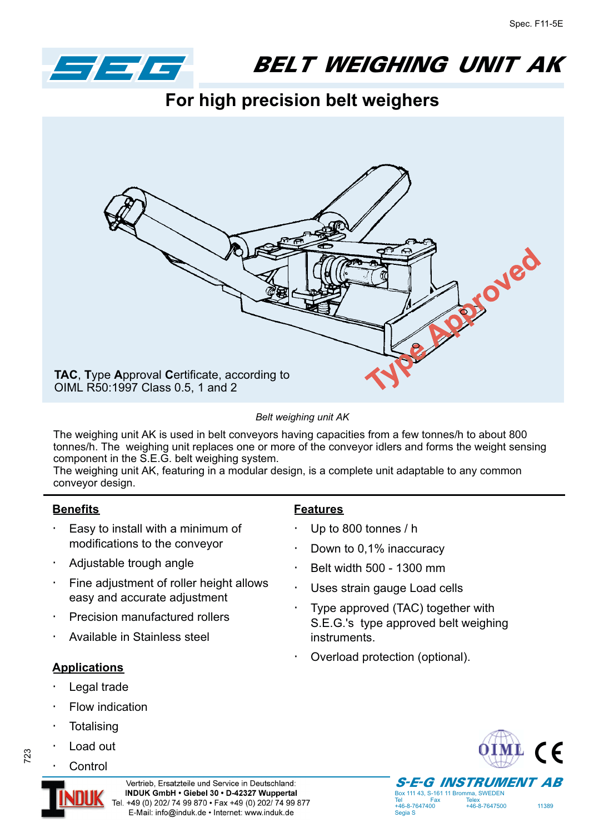

BELT WEIGHING UNIT AK

**For high precision belt weighers**



*Belt weighing unit AK*

The weighing unit AK is used in belt conveyors having capacities from a few tonnes/h to about 800 tonnes/h. The weighing unit replaces one or more of the conveyor idlers and forms the weight sensing component in the S.E.G. belt weighing system.

The weighing unit AK, featuring in a modular design, is a complete unit adaptable to any common conveyor design.

## **Benefits**

Easy to install with a minimum of modifications to the conveyor

Adjustable trough angle

Fine adjustment of roller height allows easy and accurate adjustment

Precision manufactured rollers

Available in Stainless steel

## **Applications**

Legal trade

Flow indication

- **Totalising**
- Load out **Control**

## **Features**

Up to 800 tonnes / h

Down to 0,1% inaccuracy

Belt width 500 - 1300 mm

Uses strain gauge Load cells

Type approved (TAC) together with S.E.G.'s type approved belt weighing instruments.

Overload protection (optional).